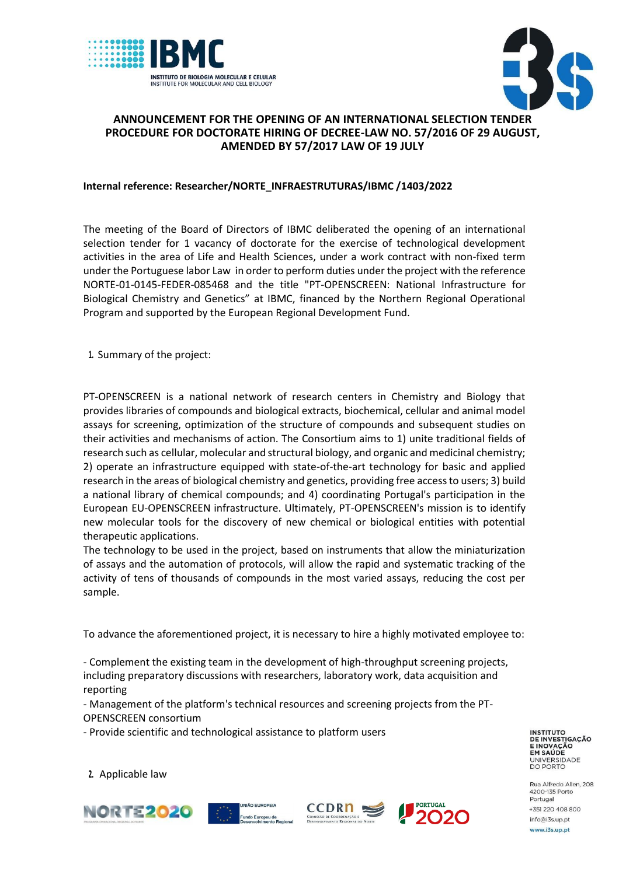



## **ANNOUNCEMENT FOR THE OPENING OF AN INTERNATIONAL SELECTION TENDER PROCEDURE FOR DOCTORATE HIRING OF DECREE-LAW NO. 57/2016 OF 29 AUGUST, AMENDED BY 57/2017 LAW OF 19 JULY**

## **Internal reference: Researcher/NORTE\_INFRAESTRUTURAS/IBMC /1403/2022**

The meeting of the Board of Directors of IBMC deliberated the opening of an international selection tender for 1 vacancy of doctorate for the exercise of technological development activities in the area of Life and Health Sciences, under a work contract with non-fixed term under the Portuguese labor Law in order to perform duties under the project with the reference NORTE-01-0145-FEDER-085468 and the title "PT-OPENSCREEN: National Infrastructure for Biological Chemistry and Genetics" at IBMC, financed by the Northern Regional Operational Program and supported by the European Regional Development Fund.

**1.** Summary of the project:

PT-OPENSCREEN is a national network of research centers in Chemistry and Biology that provides libraries of compounds and biological extracts, biochemical, cellular and animal model assays for screening, optimization of the structure of compounds and subsequent studies on their activities and mechanisms of action. The Consortium aims to 1) unite traditional fields of research such as cellular, molecular and structural biology, and organic and medicinal chemistry; 2) operate an infrastructure equipped with state-of-the-art technology for basic and applied research in the areas of biological chemistry and genetics, providing free access to users; 3) build a national library of chemical compounds; and 4) coordinating Portugal's participation in the European EU-OPENSCREEN infrastructure. Ultimately, PT-OPENSCREEN's mission is to identify new molecular tools for the discovery of new chemical or biological entities with potential therapeutic applications.

The technology to be used in the project, based on instruments that allow the miniaturization of assays and the automation of protocols, will allow the rapid and systematic tracking of the activity of tens of thousands of compounds in the most varied assays, reducing the cost per sample.

To advance the aforementioned project, it is necessary to hire a highly motivated employee to:

- Complement the existing team in the development of high-throughput screening projects, including preparatory discussions with researchers, laboratory work, data acquisition and reporting

- Management of the platform's technical resources and screening projects from the PT-OPENSCREEN consortium

- Provide scientific and technological assistance to platform users

**INSTITUTO<br>DE INVESTIGAÇÃO** E INOVAÇÃO<br>EM SAÚDE UNIVERSIDADE<br>DO PORTO

Rua Alfredo Allen, 208 4200-135 Porto Portugal +351 220 408 800 info@i3s.up.pt www.i3s.up.pt

**2.** Applicable law





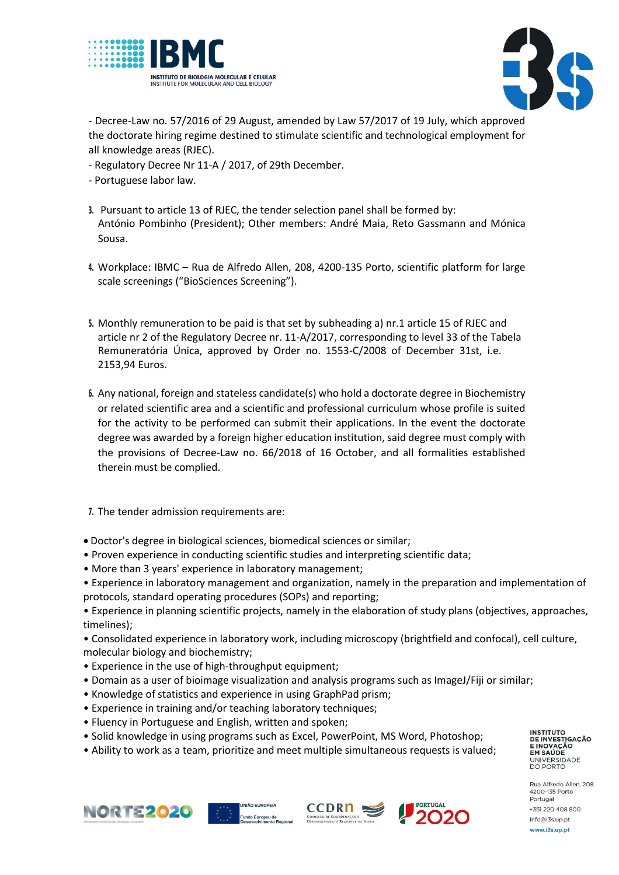



- Decree-Law no. 57/2016 of 29 August, amended by Law 57/2017 of 19 July, which approved the doctorate hiring regime destined to stimulate scientific and technological employment for all knowledge areas (RJEC).

- Regulatory Decree Nr 11-A / 2017, of 29th December.
- Portuguese labor law.
- **3.** Pursuant to article 13 of RJEC, the tender selection panel shall be formed by: António Pombinho (President); Other members: André Maia, Reto Gassmann and Mónica Sousa.
- **4.** Workplace: IBMC Rua de Alfredo Allen, 208, 4200-135 Porto, scientific platform for large scale screenings ("BioSciences Screening").
- **5.** Monthly remuneration to be paid is that set by subheading a) nr.1 article 15 of RJEC and article nr 2 of the Regulatory Decree nr. 11-A/2017, corresponding to level 33 of the Tabela Remuneratória Única, approved by Order no. 1553-C/2008 of December 31st, i.e. 2153,94 Euros.
- **6.** Any national, foreign and stateless candidate(s) who hold a doctorate degree in Biochemistry or related scientific area and a scientific and professional curriculum whose profile is suited for the activity to be performed can submit their applications. In the event the doctorate degree was awarded by a foreign higher education institution, said degree must comply with the provisions of Decree-Law no. 66/2018 of 16 October, and all formalities established therein must be complied.
- **7.** The tender admission requirements are:
- Doctor's degree in biological sciences, biomedical sciences or similar;
- Proven experience in conducting scientific studies and interpreting scientific data;
- More than 3 years' experience in laboratory management;
- Experience in laboratory management and organization, namely in the preparation and implementation of protocols, standard operating procedures (SOPs) and reporting;
- Experience in planning scientific projects, namely in the elaboration of study plans (objectives, approaches, timelines);
- Consolidated experience in laboratory work, including microscopy (brightfield and confocal), cell culture, molecular biology and biochemistry;
- Experience in the use of high-throughput equipment;
- Domain as a user of bioimage visualization and analysis programs such as ImageJ/Fiji or similar;
- Knowledge of statistics and experience in using GraphPad prism;
- Experience in training and/or teaching laboratory techniques;
- Fluency in Portuguese and English, written and spoken;
- Solid knowledge in using programs such as Excel, PowerPoint, MS Word, Photoshop;
- Ability to work as a team, prioritize and meet multiple simultaneous requests is valued;

**INSTITUTO<br>DE INVESTIGAÇÃO** E INOVAÇÃO<br>EM SAÚDE UNIVERSIDADE<br>DO PORTO

Rua Alfredo Allen, 208









4200-135 Porto Portugal +351 220 408 800 info@i3s.up.pt www.i3s.up.pt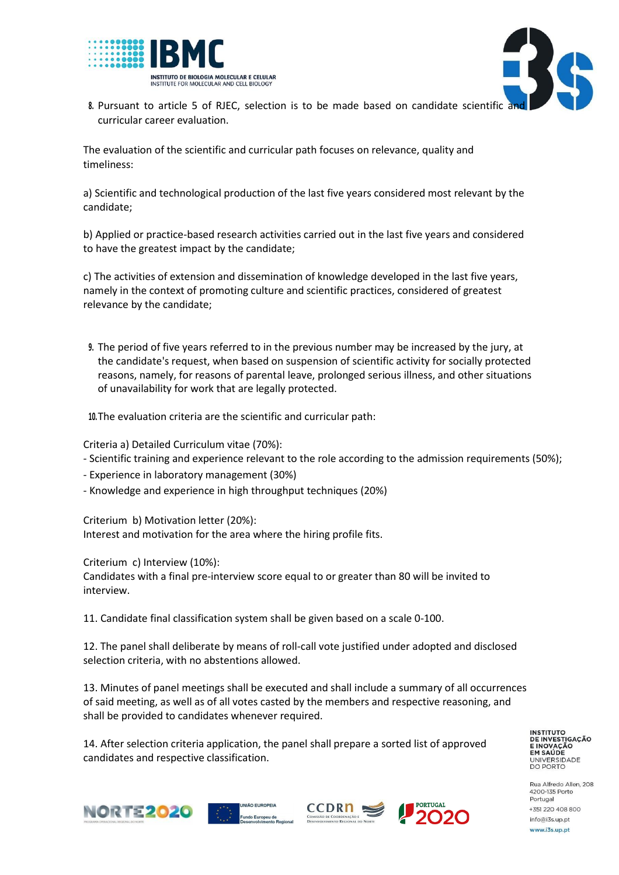



8. Pursuant to article 5 of RJEC, selection is to be made based on candidate scientific and curricular career evaluation.

The evaluation of the scientific and curricular path focuses on relevance, quality and timeliness:

a) Scientific and technological production of the last five years considered most relevant by the candidate;

b) Applied or practice-based research activities carried out in the last five years and considered to have the greatest impact by the candidate;

c) The activities of extension and dissemination of knowledge developed in the last five years, namely in the context of promoting culture and scientific practices, considered of greatest relevance by the candidate;

**9.** The period of five years referred to in the previous number may be increased by the jury, at the candidate's request, when based on suspension of scientific activity for socially protected reasons, namely, for reasons of parental leave, prolonged serious illness, and other situations of unavailability for work that are legally protected.

**10.**The evaluation criteria are the scientific and curricular path:

Criteria a) Detailed Curriculum vitae (70%):

- Scientific training and experience relevant to the role according to the admission requirements (50%);
- Experience in laboratory management (30%)
- Knowledge and experience in high throughput techniques (20%)

Criterium b) Motivation letter (20%): Interest and motivation for the area where the hiring profile fits.

Criterium c) Interview (10%):

Candidates with a final pre-interview score equal to or greater than 80 will be invited to interview.

11. Candidate final classification system shall be given based on a scale 0-100.

12. The panel shall deliberate by means of roll-call vote justified under adopted and disclosed selection criteria, with no abstentions allowed.

13. Minutes of panel meetings shall be executed and shall include a summary of all occurrences of said meeting, as well as of all votes casted by the members and respective reasoning, and shall be provided to candidates whenever required.

14. After selection criteria application, the panel shall prepare a sorted list of approved candidates and respective classification.

**INSTITUTO DE INVESTIGAÇÃO E INOVAÇÃO** EM SAÚDE UNIVERSIDADE<br>DO PORTO

Rua Alfredo Allen, 208 4200-135 Porto Portugal +351 220 408 800 info@i3s.up.pt www.i3s.up.pt